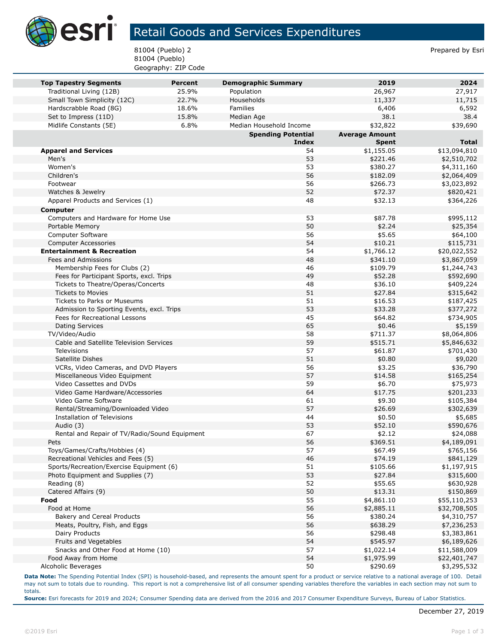

## Retail Goods and Services Expenditures

81004 (Pueblo) 2 Prepared by Esri 81004 (Pueblo) Geography: ZIP Code

| <b>Top Tapestry Segments</b>                              | <b>Percent</b> | <b>Demographic Summary</b> | 2019                  | 2024                 |
|-----------------------------------------------------------|----------------|----------------------------|-----------------------|----------------------|
| Traditional Living (12B)                                  | 25.9%          | Population                 | 26,967                | 27,917               |
| Small Town Simplicity (12C)                               | 22.7%          | Households                 | 11,337                | 11,715               |
| Hardscrabble Road (8G)                                    | 18.6%          | Families                   | 6,406                 | 6,592                |
| Set to Impress (11D)                                      | 15.8%          | Median Age                 | 38.1                  | 38.4                 |
| Midlife Constants (5E)                                    | 6.8%           | Median Household Income    | \$32,822              | \$39,690             |
|                                                           |                | <b>Spending Potential</b>  | <b>Average Amount</b> |                      |
|                                                           |                | <b>Index</b>               | <b>Spent</b>          | <b>Total</b>         |
| <b>Apparel and Services</b>                               |                | 54                         | \$1,155.05            | \$13,094,810         |
| Men's                                                     |                | 53                         | \$221.46              | \$2,510,702          |
| Women's                                                   |                | 53                         | \$380.27              | \$4,311,160          |
| Children's                                                |                | 56                         | \$182.09              | \$2,064,409          |
| Footwear                                                  |                | 56                         | \$266.73              | \$3,023,892          |
| Watches & Jewelry                                         |                | 52                         | \$72.37               | \$820,421            |
| Apparel Products and Services (1)                         |                | 48                         | \$32.13               | \$364,226            |
| <b>Computer</b>                                           |                |                            |                       |                      |
| Computers and Hardware for Home Use                       |                | 53                         | \$87.78               | \$995,112            |
| Portable Memory                                           |                | 50                         | \$2.24                | \$25,354             |
| Computer Software                                         |                | 56                         | \$5.65                | \$64,100             |
| <b>Computer Accessories</b>                               |                | 54                         | \$10.21               | \$115,731            |
| <b>Entertainment &amp; Recreation</b>                     |                | 54                         | \$1,766.12            | \$20,022,552         |
| Fees and Admissions                                       |                | 48                         | \$341.10              | \$3,867,059          |
| Membership Fees for Clubs (2)                             |                | 46                         | \$109.79              | \$1,244,743          |
| Fees for Participant Sports, excl. Trips                  |                | 49                         | \$52.28               | \$592,690            |
| Tickets to Theatre/Operas/Concerts                        |                | 48                         | \$36.10               | \$409,224            |
| <b>Tickets to Movies</b>                                  |                | 51                         | \$27.84               | \$315,642            |
| Tickets to Parks or Museums                               |                | 51                         | \$16.53               | \$187,425            |
| Admission to Sporting Events, excl. Trips                 |                | 53                         | \$33.28               | \$377,272            |
| Fees for Recreational Lessons                             |                | 45                         | \$64.82               | \$734,905            |
| <b>Dating Services</b>                                    |                | 65                         | \$0.46                | \$5,159              |
| TV/Video/Audio<br>Cable and Satellite Television Services |                | 58<br>59                   | \$711.37              | \$8,064,806          |
| Televisions                                               |                | 57                         | \$515.71<br>\$61.87   | \$5,846,632          |
| Satellite Dishes                                          |                | 51                         | \$0.80                | \$701,430<br>\$9,020 |
| VCRs, Video Cameras, and DVD Players                      |                | 56                         | \$3.25                | \$36,790             |
| Miscellaneous Video Equipment                             |                | 57                         | \$14.58               | \$165,254            |
| Video Cassettes and DVDs                                  |                | 59                         | \$6.70                | \$75,973             |
| Video Game Hardware/Accessories                           |                | 64                         | \$17.75               | \$201,233            |
| Video Game Software                                       |                | 61                         | \$9.30                | \$105,384            |
| Rental/Streaming/Downloaded Video                         |                | 57                         | \$26.69               | \$302,639            |
| Installation of Televisions                               |                | 44                         | \$0.50                | \$5,685              |
| Audio (3)                                                 |                | 53                         | \$52.10               | \$590,676            |
| Rental and Repair of TV/Radio/Sound Equipment             |                | 67                         | \$2.12                | \$24,088             |
| Pets                                                      |                | 56                         | \$369.51              | \$4,189,091          |
| Toys/Games/Crafts/Hobbies (4)                             |                | 57                         | \$67.49               | \$765,156            |
| Recreational Vehicles and Fees (5)                        |                | 46                         | \$74.19               | \$841,129            |
| Sports/Recreation/Exercise Equipment (6)                  |                | 51                         | \$105.66              | \$1,197,915          |
| Photo Equipment and Supplies (7)                          |                | 53                         | \$27.84               | \$315,600            |
| Reading (8)                                               |                | 52                         | \$55.65               | \$630,928            |
| Catered Affairs (9)                                       |                | 50                         | \$13.31               | \$150,869            |
| Food                                                      |                | 55                         | \$4,861.10            | \$55,110,253         |
| Food at Home                                              |                | 56                         | \$2,885.11            | \$32,708,505         |
| Bakery and Cereal Products                                |                | 56                         | \$380.24              | \$4,310,757          |
| Meats, Poultry, Fish, and Eggs                            |                | 56                         | \$638.29              | \$7,236,253          |
| Dairy Products                                            |                | 56                         | \$298.48              | \$3,383,861          |
| Fruits and Vegetables                                     |                | 54                         | \$545.97              | \$6,189,626          |
| Snacks and Other Food at Home (10)                        |                | 57                         | \$1,022.14            | \$11,588,009         |
| Food Away from Home                                       |                | 54                         | \$1,975.99            | \$22,401,747         |
| Alcoholic Beverages                                       |                | 50                         | \$290.69              | \$3,295,532          |

**Data Note:** The Spending Potential Index (SPI) is household-based, and represents the amount spent for a product or service relative to a national average of 100. Detail may not sum to totals due to rounding. This report is not a comprehensive list of all consumer spending variables therefore the variables in each section may not sum to totals.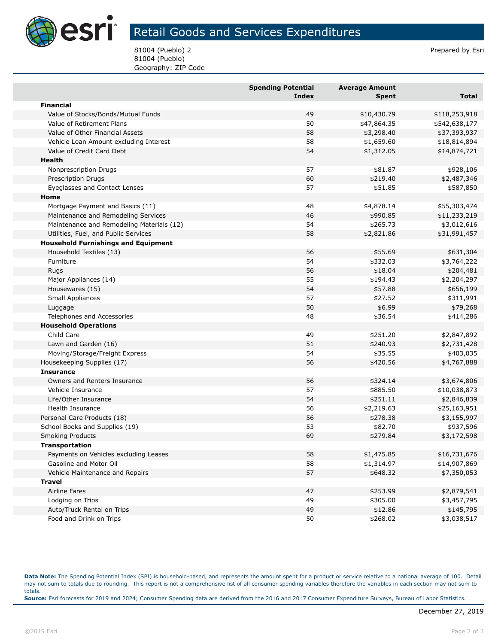

## Retail Goods and Services Expenditures

81004 (Pueblo) 2 Prepared by Esri 81004 (Pueblo) Geography: ZIP Code

|                                            | <b>Spending Potential</b> | <b>Average Amount</b> |               |
|--------------------------------------------|---------------------------|-----------------------|---------------|
|                                            | <b>Index</b>              | Spent                 | Total         |
| <b>Financial</b>                           |                           |                       |               |
| Value of Stocks/Bonds/Mutual Funds         | 49                        | \$10,430.79           | \$118,253,918 |
| Value of Retirement Plans                  | 50                        | \$47,864.35           | \$542,638,177 |
| Value of Other Financial Assets            | 58                        | \$3,298.40            | \$37,393,937  |
| Vehicle Loan Amount excluding Interest     | 58                        | \$1,659.60            | \$18,814,894  |
| Value of Credit Card Debt                  | 54                        | \$1,312.05            | \$14,874,721  |
| <b>Health</b>                              |                           |                       |               |
| Nonprescription Drugs                      | 57                        | \$81.87               | \$928,106     |
| <b>Prescription Drugs</b>                  | 60                        | \$219.40              | \$2,487,346   |
| Eyeglasses and Contact Lenses              | 57                        | \$51.85               | \$587,850     |
| Home                                       |                           |                       |               |
| Mortgage Payment and Basics (11)           | 48                        | \$4,878.14            | \$55,303,474  |
| Maintenance and Remodeling Services        | 46                        | \$990.85              | \$11,233,219  |
| Maintenance and Remodeling Materials (12)  | 54                        | \$265.73              | \$3,012,616   |
| Utilities, Fuel, and Public Services       | 58                        | \$2,821.86            | \$31,991,457  |
| <b>Household Furnishings and Equipment</b> |                           |                       |               |
| Household Textiles (13)                    | 56                        | \$55.69               | \$631,304     |
| Furniture                                  | 54                        | \$332.03              | \$3,764,222   |
| <b>Rugs</b>                                | 56                        | \$18.04               | \$204,481     |
| Major Appliances (14)                      | 55                        | \$194.43              | \$2,204,297   |
| Housewares (15)                            | 54                        | \$57.88               | \$656,199     |
| Small Appliances                           | 57                        | \$27.52               | \$311,991     |
| Luggage                                    | 50                        | \$6.99                | \$79,268      |
| Telephones and Accessories                 | 48                        | \$36.54               | \$414,286     |
| <b>Household Operations</b>                |                           |                       |               |
| Child Care                                 | 49                        | \$251.20              | \$2,847,892   |
| Lawn and Garden (16)                       | 51                        | \$240.93              | \$2,731,428   |
| Moving/Storage/Freight Express             | 54                        | \$35.55               | \$403,035     |
| Housekeeping Supplies (17)                 | 56                        | \$420.56              | \$4,767,888   |
| <b>Insurance</b>                           |                           |                       |               |
| Owners and Renters Insurance               | 56                        | \$324.14              | \$3,674,806   |
| Vehicle Insurance                          | 57                        | \$885.50              | \$10,038,873  |
| Life/Other Insurance                       | 54                        | \$251.11              | \$2,846,839   |
| Health Insurance                           | 56                        | \$2,219.63            | \$25,163,951  |
| Personal Care Products (18)                | 56                        | \$278.38              | \$3,155,997   |
| School Books and Supplies (19)             | 53                        | \$82.70               | \$937,596     |
| <b>Smoking Products</b>                    | 69                        | \$279.84              | \$3,172,598   |
| Transportation                             |                           |                       |               |
| Payments on Vehicles excluding Leases      | 58                        | \$1,475.85            | \$16,731,676  |
| Gasoline and Motor Oil                     | 58                        | \$1,314.97            | \$14,907,869  |
| Vehicle Maintenance and Repairs            | 57                        | \$648.32              | \$7,350,053   |
| <b>Travel</b>                              |                           |                       |               |
| Airline Fares                              | 47                        | \$253.99              | \$2,879,541   |
| Lodging on Trips                           | 49                        | \$305.00              | \$3,457,795   |
| Auto/Truck Rental on Trips                 | 49                        | \$12.86               | \$145,795     |
| Food and Drink on Trips                    | 50                        | \$268.02              | \$3,038,517   |

**Data Note:** The Spending Potential Index (SPI) is household-based, and represents the amount spent for a product or service relative to a national average of 100. Detail may not sum to totals due to rounding. This report is not a comprehensive list of all consumer spending variables therefore the variables in each section may not sum to totals. **Source:** Esri forecasts for 2019 and 2024; Consumer Spending data are derived from the 2016 and 2017 Consumer Expenditure Surveys, Bureau of Labor Statistics.